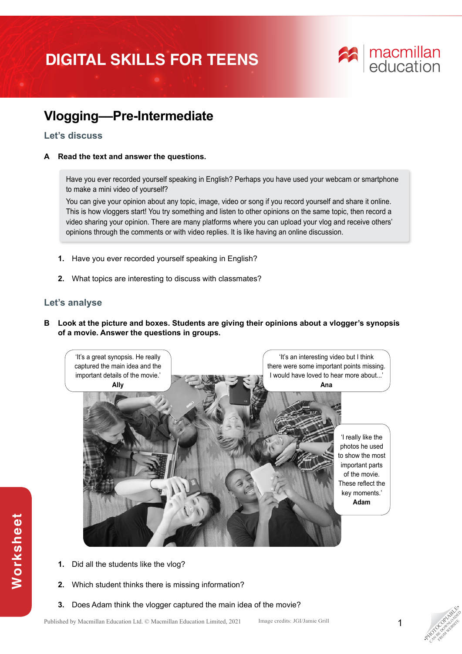# **DIGITAL SKILLS FOR TEENS**



## **Vlogging––Pre-Intermediate**

#### **Let's discuss**

#### **A Read the text and answer the questions.**

Have you ever recorded yourself speaking in English? Perhaps you have used your webcam or smartphone to make a mini video of yourself?

You can give your opinion about any topic, image, video or song if you record yourself and share it online. This is how vloggers start! You try something and listen to other opinions on the same topic, then record a video sharing your opinion. There are many platforms where you can upload your vlog and receive others' opinions through the comments or with video replies. It is like having an online discussion.

- **1.** Have you ever recorded yourself speaking in English?
- **2.** What topics are interesting to discuss with classmates?

### **Let's analyse**

**Worksheet**

Worksheet

**B Look at the picture and boxes. Students are giving their opinions about a vlogger's synopsis of a movie. Answer the questions in groups.**



- **1.** Did all the students like the vlog?
- **2.** Which student thinks there is missing information?
- **3.** Does Adam think the vlogger captured the main idea of the movie?



**PHOTOGRAPHICATE** CAN BE DOWNLOAD FROM WEBSITE